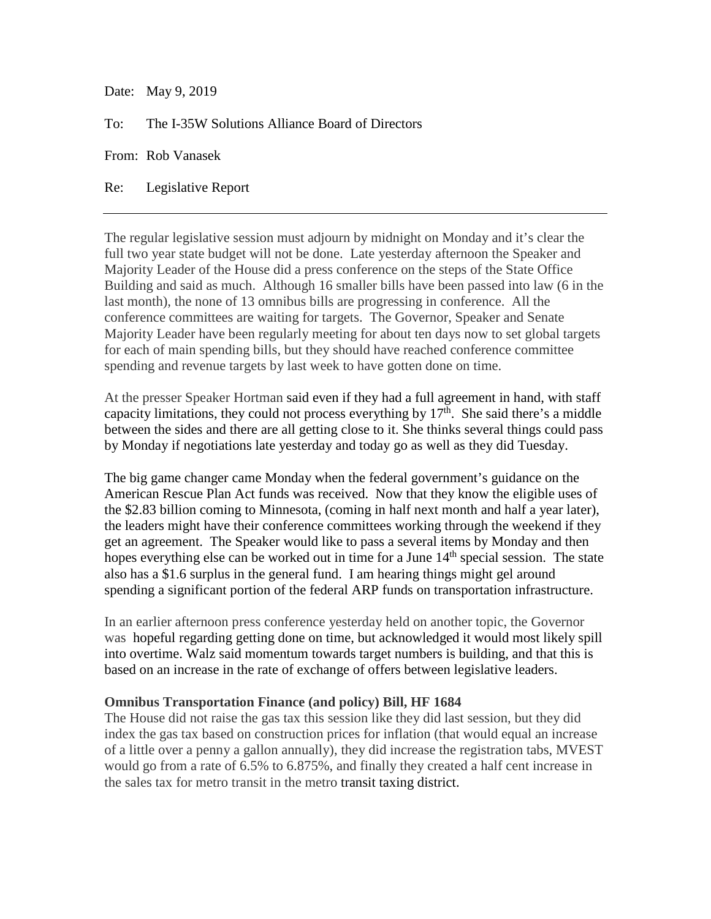Date: May 9, 2019

To: The I-35W Solutions Alliance Board of Directors

From: Rob Vanasek

Re: Legislative Report

The regular legislative session must adjourn by midnight on Monday and it's clear the full two year state budget will not be done. Late yesterday afternoon the Speaker and Majority Leader of the House did a press conference on the steps of the State Office Building and said as much. Although 16 smaller bills have been passed into law (6 in the last month), the none of 13 omnibus bills are progressing in conference. All the conference committees are waiting for targets. The Governor, Speaker and Senate Majority Leader have been regularly meeting for about ten days now to set global targets for each of main spending bills, but they should have reached conference committee spending and revenue targets by last week to have gotten done on time.

At the presser Speaker Hortman said even if they had a full agreement in hand, with staff capacity limitations, they could not process everything by  $17<sup>th</sup>$ . She said there's a middle between the sides and there are all getting close to it. She thinks several things could pass by Monday if negotiations late yesterday and today go as well as they did Tuesday.

The big game changer came Monday when the federal government's guidance on the American Rescue Plan Act funds was received. Now that they know the eligible uses of the \$2.83 billion coming to Minnesota, (coming in half next month and half a year later), the leaders might have their conference committees working through the weekend if they get an agreement. The Speaker would like to pass a several items by Monday and then hopes everything else can be worked out in time for a June 14<sup>th</sup> special session. The state also has a \$1.6 surplus in the general fund. I am hearing things might gel around spending a significant portion of the federal ARP funds on transportation infrastructure.

In an earlier afternoon press conference yesterday held on another topic, the Governor was hopeful regarding getting done on time, but acknowledged it would most likely spill into overtime. Walz said momentum towards target numbers is building, and that this is based on an increase in the rate of exchange of offers between legislative leaders.

## **Omnibus Transportation Finance (and policy) Bill, HF 1684**

The House did not raise the gas tax this session like they did last session, but they did index the gas tax based on construction prices for inflation (that would equal an increase of a little over a penny a gallon annually), they did increase the registration tabs, MVEST would go from a rate of 6.5% to 6.875%, and finally they created a half cent increase in the sales tax for metro transit in the metro transit taxing district.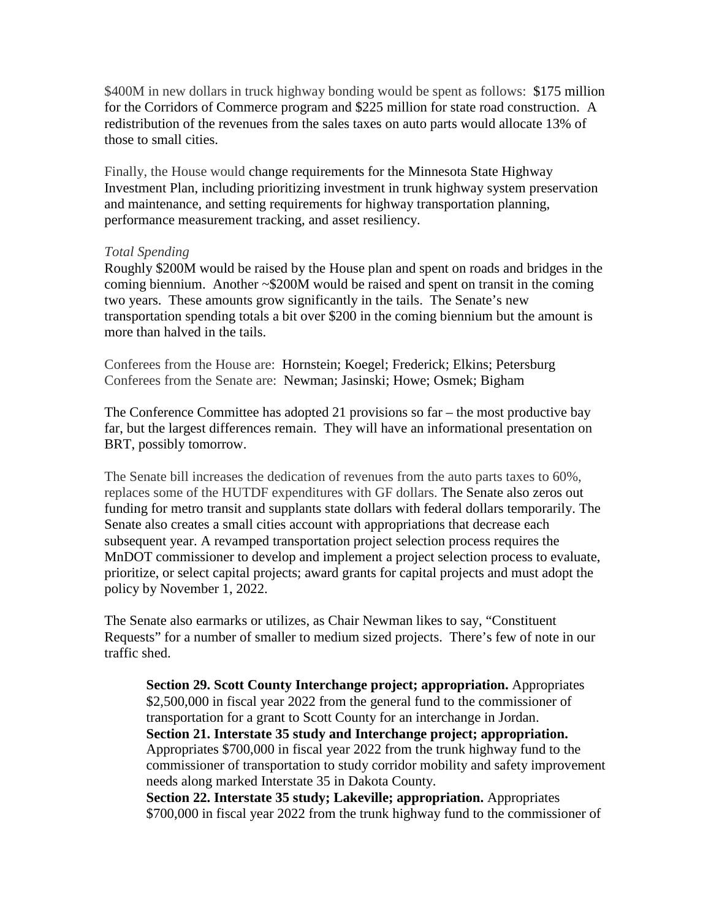\$400M in new dollars in truck highway bonding would be spent as follows: \$175 million for the Corridors of Commerce program and \$225 million for state road construction. A redistribution of the revenues from the sales taxes on auto parts would allocate 13% of those to small cities.

Finally, the House would change requirements for the Minnesota State Highway Investment Plan, including prioritizing investment in trunk highway system preservation and maintenance, and setting requirements for highway transportation planning, performance measurement tracking, and asset resiliency.

## *Total Spending*

Roughly \$200M would be raised by the House plan and spent on roads and bridges in the coming biennium. Another ~\$200M would be raised and spent on transit in the coming two years. These amounts grow significantly in the tails. The Senate's new transportation spending totals a bit over \$200 in the coming biennium but the amount is more than halved in the tails.

Conferees from the House are: Hornstein; Koegel; Frederick; Elkins; Petersburg Conferees from the Senate are: Newman; Jasinski; Howe; Osmek; Bigham

The Conference Committee has adopted 21 provisions so far – the most productive bay far, but the largest differences remain. They will have an informational presentation on BRT, possibly tomorrow.

The Senate bill increases the dedication of revenues from the auto parts taxes to 60%, replaces some of the HUTDF expenditures with GF dollars. The Senate also zeros out funding for metro transit and supplants state dollars with federal dollars temporarily. The Senate also creates a small cities account with appropriations that decrease each subsequent year. A revamped transportation project selection process requires the MnDOT commissioner to develop and implement a project selection process to evaluate, prioritize, or select capital projects; award grants for capital projects and must adopt the policy by November 1, 2022.

The Senate also earmarks or utilizes, as Chair Newman likes to say, "Constituent Requests" for a number of smaller to medium sized projects. There's few of note in our traffic shed.

**Section 29. Scott County Interchange project; appropriation.** Appropriates \$2,500,000 in fiscal year 2022 from the general fund to the commissioner of transportation for a grant to Scott County for an interchange in Jordan. **Section 21. Interstate 35 study and Interchange project; appropriation.**  Appropriates \$700,000 in fiscal year 2022 from the trunk highway fund to the commissioner of transportation to study corridor mobility and safety improvement needs along marked Interstate 35 in Dakota County. **Section 22. Interstate 35 study; Lakeville; appropriation.** Appropriates \$700,000 in fiscal year 2022 from the trunk highway fund to the commissioner of